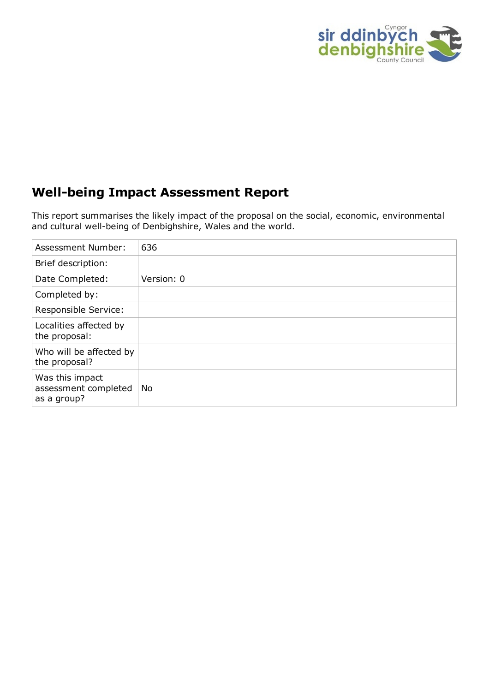

### **Well-being Impact Assessment Report**

This report summarises the likely impact of the proposal on the social, economic, environmental and cultural well-being of Denbighshire, Wales and the world.

| <b>Assessment Number:</b>                              | 636        |
|--------------------------------------------------------|------------|
| Brief description:                                     |            |
| Date Completed:                                        | Version: 0 |
| Completed by:                                          |            |
| Responsible Service:                                   |            |
| Localities affected by<br>the proposal:                |            |
| Who will be affected by<br>the proposal?               |            |
| Was this impact<br>assessment completed<br>as a group? | No         |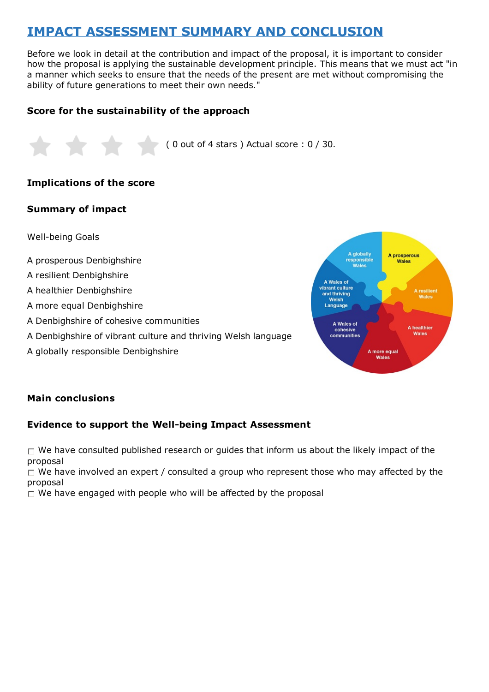# **IMPACT ASSESSMENT SUMMARY AND CONCLUSION**

Before we look in detail at the contribution and impact of the proposal, it is important to consider how the proposal is applying the sustainable development principle. This means that we must act "in a manner which seeks to ensure that the needs of the present are met without compromising the ability of future generations to meet their own needs."

#### **Score for the sustainability of the approach**



#### **Implications of the score**

#### **Summary of impact**

Well-being Goals

- A prosperous Denbighshire
- A resilient Denbighshire
- A healthier Denbighshire
- A more equal Denbighshire
- A Denbighshire of cohesive communities
- A Denbighshire of vibrant culture and thriving Welsh language
- A globally responsible Denbighshire



#### **Main conclusions**

#### **Evidence to support the Well-being Impact Assessment**

 $\Box$  We have consulted published research or guides that inform us about the likely impact of the proposal

 $\Box$  We have involved an expert / consulted a group who represent those who may affected by the proposal

 $\Box$  We have engaged with people who will be affected by the proposal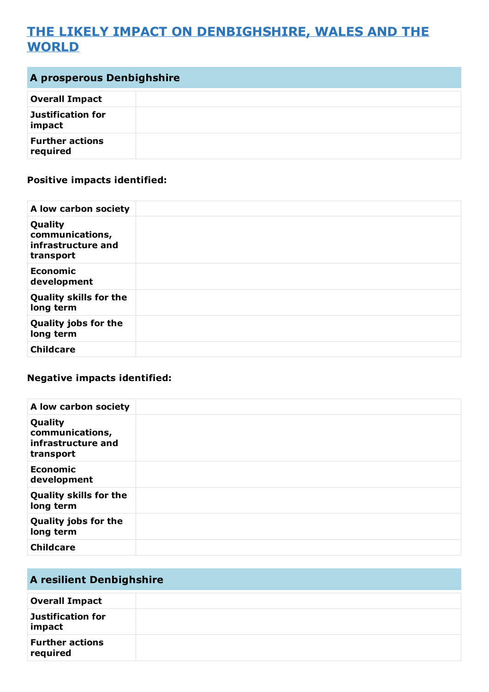## **THE LIKELY IMPACT ON DENBIGHSHIRE, WALES AND THE WORLD**

| <b>A prosperous Denbighshire</b>   |  |
|------------------------------------|--|
| <b>Overall Impact</b>              |  |
| Justification for<br>impact        |  |
| <b>Further actions</b><br>required |  |

### **Positive impacts identified:**

| A low carbon society                                          |  |
|---------------------------------------------------------------|--|
| Quality<br>communications,<br>infrastructure and<br>transport |  |
| <b>Economic</b><br>development                                |  |
| <b>Quality skills for the</b><br>long term                    |  |
| <b>Quality jobs for the</b><br>long term                      |  |
| <b>Childcare</b>                                              |  |

#### **Negative impacts identified:**

| A low carbon society                                          |  |
|---------------------------------------------------------------|--|
| Quality<br>communications,<br>infrastructure and<br>transport |  |
| <b>Economic</b><br>development                                |  |
| <b>Quality skills for the</b><br>long term                    |  |
| <b>Quality jobs for the</b><br>long term                      |  |
| <b>Childcare</b>                                              |  |

| <b>A resilient Denbighshire</b>    |  |
|------------------------------------|--|
| <b>Overall Impact</b>              |  |
| Justification for<br>impact        |  |
| <b>Further actions</b><br>required |  |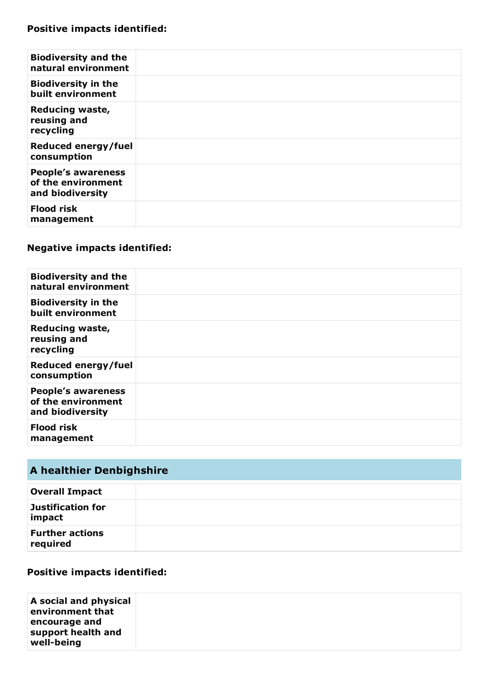| <b>Biodiversity and the</b><br>natural environment                  |  |
|---------------------------------------------------------------------|--|
| <b>Biodiversity in the</b><br>built environment                     |  |
| <b>Reducing waste,</b><br>reusing and<br>recycling                  |  |
| Reduced energy/fuel<br>consumption                                  |  |
| <b>People's awareness</b><br>of the environment<br>and biodiversity |  |
| <b>Flood risk</b><br>management                                     |  |

| <b>Biodiversity and the</b><br>natural environment                  |  |
|---------------------------------------------------------------------|--|
| <b>Biodiversity in the</b><br>built environment                     |  |
| <b>Reducing waste,</b><br>reusing and<br>recycling                  |  |
| Reduced energy/fuel<br>consumption                                  |  |
| <b>People's awareness</b><br>of the environment<br>and biodiversity |  |
| <b>Flood risk</b><br>management                                     |  |

# **A healthier Denbighshire**

| <b>Overall Impact</b>              |  |
|------------------------------------|--|
| Justification for<br>impact        |  |
| <b>Further actions</b><br>required |  |

### **Positive impacts identified:**

| A social and physical<br>environment that<br>encourage and<br>support health and<br>well-being |  |
|------------------------------------------------------------------------------------------------|--|
|                                                                                                |  |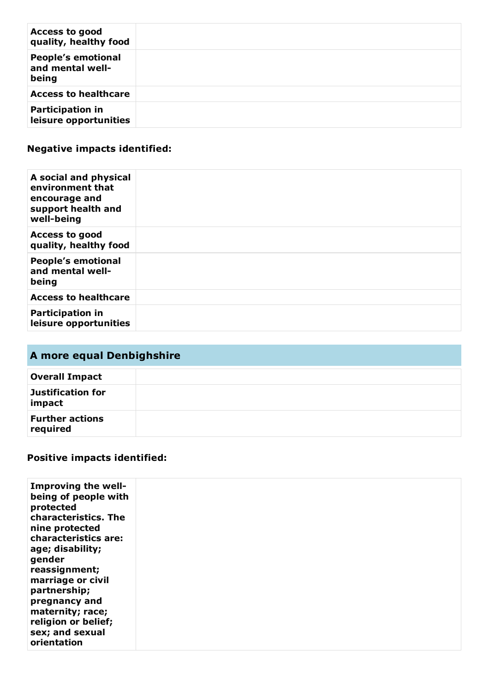| <b>Access to good</b><br>quality, healthy food         |  |
|--------------------------------------------------------|--|
| <b>People's emotional</b><br>and mental well-<br>being |  |
| <b>Access to healthcare</b>                            |  |
| <b>Participation in</b><br>leisure opportunities       |  |

| A social and physical<br>environment that<br>encourage and<br>support health and<br>well-being |  |
|------------------------------------------------------------------------------------------------|--|
| <b>Access to good</b><br>quality, healthy food                                                 |  |
| <b>People's emotional</b><br>and mental well-<br>being                                         |  |
| <b>Access to healthcare</b>                                                                    |  |
| <b>Participation in</b><br>leisure opportunities                                               |  |

## **A more equal Denbighshire**

| <b>Overall Impact</b>              |  |
|------------------------------------|--|
| Justification for<br>impact        |  |
| <b>Further actions</b><br>required |  |

## **Positive impacts identified:**

| orientation |                                                                                                                                                                                                                                                                                               |  |  |
|-------------|-----------------------------------------------------------------------------------------------------------------------------------------------------------------------------------------------------------------------------------------------------------------------------------------------|--|--|
|             | Improving the well-<br>being of people with<br>protected<br>characteristics. The<br>nine protected<br>characteristics are:<br>age; disability;<br>gender<br>reassignment;<br>marriage or civil<br>partnership;<br>pregnancy and<br>maternity; race;<br>religion or belief;<br>sex; and sexual |  |  |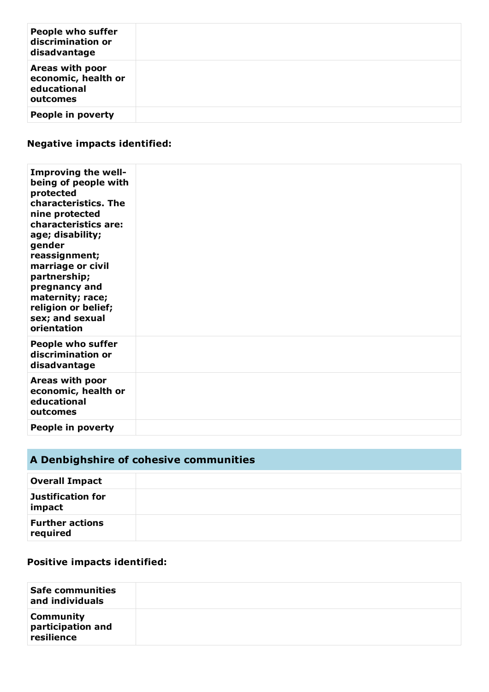| <b>People who suffer</b><br>discrimination or<br>disadvantage     |  |
|-------------------------------------------------------------------|--|
| Areas with poor<br>economic, health or<br>educational<br>outcomes |  |
| People in poverty                                                 |  |

| Improving the well-<br>being of people with<br>protected<br>characteristics. The<br>nine protected<br>characteristics are:<br>age; disability;<br>gender<br>reassignment;<br>marriage or civil<br>partnership;<br>pregnancy and<br>maternity; race;<br>religion or belief;<br>sex; and sexual<br>orientation |  |
|--------------------------------------------------------------------------------------------------------------------------------------------------------------------------------------------------------------------------------------------------------------------------------------------------------------|--|
| <b>People who suffer</b><br>discrimination or<br>disadvantage                                                                                                                                                                                                                                                |  |
| Areas with poor<br>economic, health or<br>educational<br>outcomes                                                                                                                                                                                                                                            |  |
| People in poverty                                                                                                                                                                                                                                                                                            |  |

# **A Denbighshire of cohesive communities**

| <b>Overall Impact</b>              |  |
|------------------------------------|--|
| Justification for<br>impact        |  |
| <b>Further actions</b><br>required |  |

### **Positive impacts identified:**

| <b>Safe communities</b><br>and individuals          |  |
|-----------------------------------------------------|--|
| <b>Community</b><br>participation and<br>resilience |  |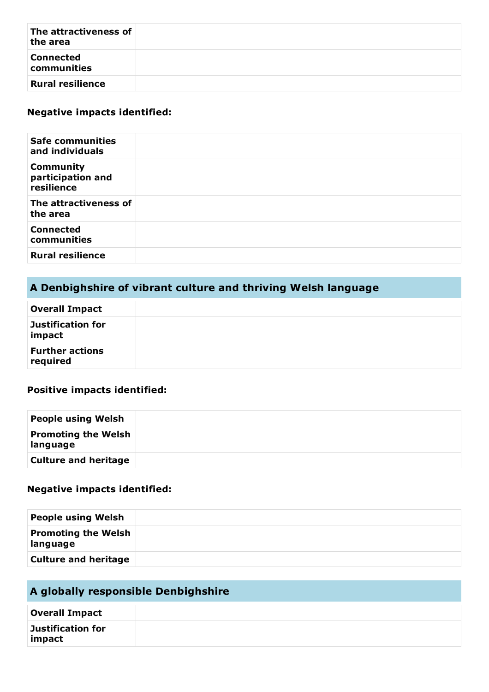| The attractiveness of<br>the area |  |
|-----------------------------------|--|
| <b>Connected</b><br>communities   |  |
| <b>Rural resilience</b>           |  |

| <b>Safe communities</b><br>and individuals          |  |
|-----------------------------------------------------|--|
| <b>Community</b><br>participation and<br>resilience |  |
| The attractiveness of<br>the area                   |  |
| <b>Connected</b><br>communities                     |  |
| <b>Rural resilience</b>                             |  |

## **A Denbighshire of vibrant culture and thriving Welsh language**

| <b>Overall Impact</b>              |  |
|------------------------------------|--|
| Justification for<br>impact        |  |
| <b>Further actions</b><br>required |  |

#### **Positive impacts identified:**

| <b>People using Welsh</b>              |  |
|----------------------------------------|--|
| <b>Promoting the Welsh</b><br>language |  |
| <b>Culture and heritage</b>            |  |

#### **Negative impacts identified:**

| <b>People using Welsh</b>              |  |
|----------------------------------------|--|
| <b>Promoting the Welsh</b><br>language |  |
| <b>Culture and heritage</b>            |  |

## **A globally responsible Denbighshire**

| <b>Overall Impact</b>       |  |
|-----------------------------|--|
| Justification for<br>impact |  |